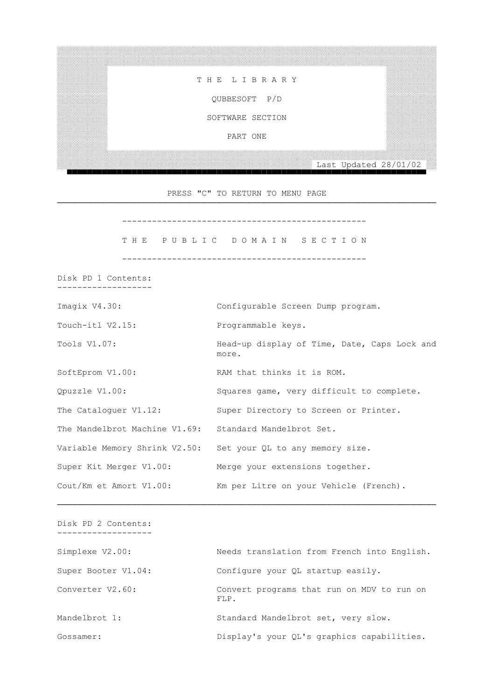░░░░░░░░░░ ░░░░░░░░░░ ░░░░░░░░░░ T H E L I B R A R Y ░░░░░░░░░░ ░░░░░░░░░░ ░░░░░░░░░░ ░░░░░░░░░░ QUBBESOFT P/D ░░░░░░░░░░ ░░░░░░░░░░ ░░░░░░░░░░ SOFTWARE SECTION

░░░░░░░░░░░░░░░░░░░░░░░░░░░░░░░░░░░░░░░░░░░░░░░░░░░░░░░░░░░░░░░░░░░░░░░░░░░░

░░░░░░░░░░ ░░░░░░░░░░

░░░░░░░░░░░░░░░░░░░░░░░░░░░░░░░░░░░░░░░░░░░░░░░░░░░░░░░░░░░░░░░░░░░░░░░░░░░░

PART ONE ░░░░░░░░░░ ░░░░░░░░░░

 ░░░░░░░░░░░░░░░░░░░░░░░░░░░░░░░░░░░░░░░░░░░░░░░░░░░ Last Updated 28/01/02 ░░ ▀▀▀▀▀▀▀▀▀▀▀▀▀▀▀▀▀▀▀▀▀▀▀▀▀▀▀▀▀▀▀▀▀▀▀▀▀▀▀▀▀▀▀▀▀▀▀▀▀▀▀▀▀▀▀▀▀▀▀▀▀▀▀▀▀▀▀▀▀▀▀▀

 PRESS "C" TO RETURN TO MENU PAGE ────────────────────────────────────────────────────────────────────────────

-------------------------------------------------

THE PUBLIC DOMAIN SECTION

-------------------------------------------------

 Disk PD 1 Contents: -------------------

| Imagix V4.30:                                          | Configurable Screen Dump program.                     |
|--------------------------------------------------------|-------------------------------------------------------|
| Touch-itl V2.15:                                       | Programmable keys.                                    |
| Tools V1.07:                                           | Head-up display of Time, Date, Caps Lock and<br>more. |
| SoftEprom V1.00:                                       | RAM that thinks it is ROM.                            |
| Opuzzle V1.00:                                         | Squares game, very difficult to complete.             |
| The Cataloquer V1.12:                                  | Super Directory to Screen or Printer.                 |
| The Mandelbrot Machine V1.69: Standard Mandelbrot Set. |                                                       |
| Variable Memory Shrink V2.50:                          | Set your QL to any memory size.                       |
| Super Kit Merger V1.00:                                | Merge your extensions together.                       |
| Cout/Km et Amort V1.00:                                | Km per Litre on your Vehicle (French).                |

 Disk PD 2 Contents: -------------------

| Simplexe V2.00:     | Needs translation from French into English.        |
|---------------------|----------------------------------------------------|
| Super Booter V1.04: | Configure your QL startup easily.                  |
| Converter V2.60:    | Convert programs that run on MDV to run on<br>FLP. |
| Mandelbrot 1:       | Standard Mandelbrot set, very slow.                |
| Gossamer:           | Display's your QL's graphics capabilities.         |

────────────────────────────────────────────────────────────────────────────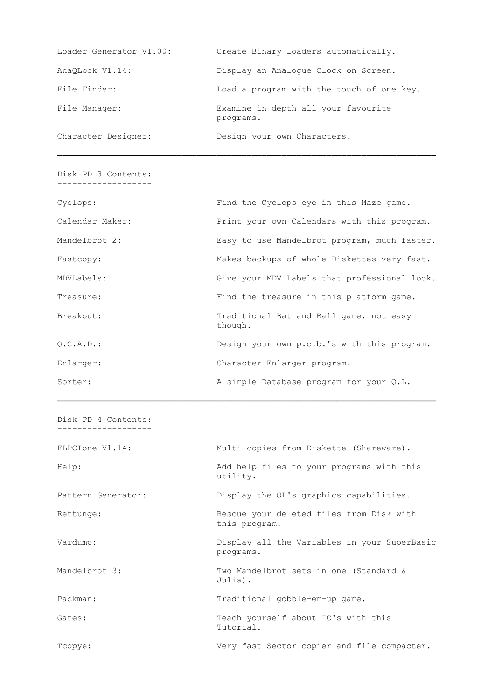| Loader Generator V1.00: | Create Binary loaders automatically.             |
|-------------------------|--------------------------------------------------|
| AnaOLock V1.14:         | Display an Analoque Clock on Screen.             |
| File Finder:            | Load a program with the touch of one key.        |
| File Manager:           | Examine in depth all your favourite<br>programs. |
| Character Designer:     | Design your own Characters.                      |

 Disk PD 3 Contents: -------------------

| Cyclops:        | Find the Cyclops eye in this Maze game.            |
|-----------------|----------------------------------------------------|
| Calendar Maker: | Print your own Calendars with this program.        |
| Mandelbrot 2:   | Easy to use Mandelbrot program, much faster.       |
| Fastcopy:       | Makes backups of whole Diskettes very fast.        |
| MDVLabels:      | Give your MDV Labels that professional look.       |
| Treasure:       | Find the treasure in this platform game.           |
| Breakout:       | Traditional Bat and Ball game, not easy<br>though. |
| 0.C.A.D.:       | Design your own p.c.b.'s with this program.        |
| Enlarger:       | Character Enlarger program.                        |
| Sorter:         | A simple Database program for your Q.L.            |

────────────────────────────────────────────────────────────────────────────

 Disk PD 4 Contents: -------------------

| FLPCIone V1.14:    | Multi-copies from Diskette (Shareware).                   |
|--------------------|-----------------------------------------------------------|
| Help:              | Add help files to your programs with this<br>utility.     |
| Pattern Generator: | Display the QL's graphics capabilities.                   |
| Rettunge:          | Rescue your deleted files from Disk with<br>this program. |
| Vardump:           | Display all the Variables in your SuperBasic<br>programs. |
| Mandelbrot 3:      | Two Mandelbrot sets in one (Standard &<br>Julia).         |
| Packman:           | Traditional gobble-em-up game.                            |
| Gates:             | Teach yourself about IC's with this<br>Tutorial.          |
| Tcopye:            | Very fast Sector copier and file compacter.               |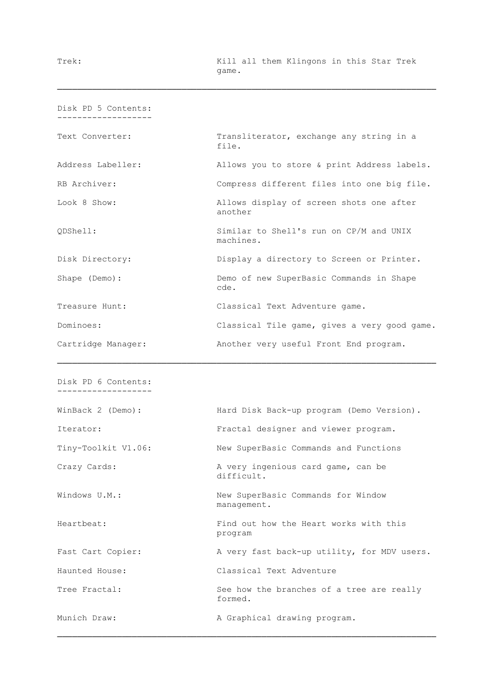| Disk PD 5 Contents: |                                                      |
|---------------------|------------------------------------------------------|
| Text Converter:     | Transliterator, exchange any string in a<br>file.    |
| Address Labeller:   | Allows you to store & print Address labels.          |
| RB Archiver:        | Compress different files into one big file.          |
| Look 8 Show:        | Allows display of screen shots one after<br>another  |
| ODShell:            | Similar to Shell's run on CP/M and UNIX<br>machines. |
| Disk Directory:     | Display a directory to Screen or Printer.            |
| Shape (Demo):       | Demo of new SuperBasic Commands in Shape<br>cde.     |
| Treasure Hunt:      | Classical Text Adventure game.                       |
| Dominoes:           | Classical Tile game, gives a very good game.         |
| Cartridge Manager:  | Another very useful Front End program.               |

────────────────────────────────────────────────────────────────────────────

```
 Disk PD 6 Contents:
-------------------
```

| WinBack 2 (Demo):   | Hard Disk Back-up program (Demo Version).            |  |  |
|---------------------|------------------------------------------------------|--|--|
| Iterator:           | Fractal designer and viewer program.                 |  |  |
| Tiny-Toolkit V1.06: | New SuperBasic Commands and Functions                |  |  |
| Crazy Cards:        | A very ingenious card game, can be<br>difficult.     |  |  |
| Windows U.M.:       | New SuperBasic Commands for Window<br>management.    |  |  |
| Heartbeat:          | Find out how the Heart works with this<br>program    |  |  |
| Fast Cart Copier:   | A very fast back-up utility, for MDV users.          |  |  |
| Haunted House:      | Classical Text Adventure                             |  |  |
| Tree Fractal:       | See how the branches of a tree are really<br>formed. |  |  |
| Munich Draw:        | A Graphical drawing program.                         |  |  |

────────────────────────────────────────────────────────────────────────────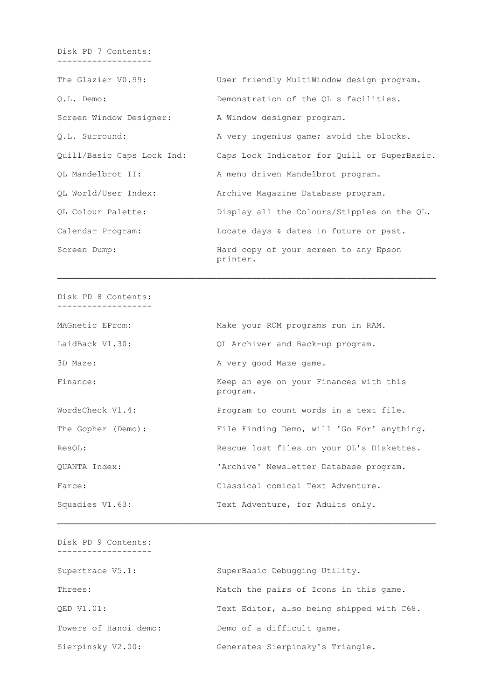Disk PD 7 Contents: -------------------

The Glazier V0.99: User friendly MultiWindow design program. Q.L. Demo: Demonstration of the QL s facilities. Screen Window Designer: A Window designer program. Q.L. Surround: A very ingenius game; avoid the blocks. Quill/Basic Caps Lock Ind: Caps Lock Indicator for Quill or SuperBasic. QL Mandelbrot II: A menu driven Mandelbrot program. QL World/User Index: Archive Magazine Database program. QL Colour Palette: Display all the Colours/Stipples on the QL. Calendar Program: Locate days & dates in future or past. Screen Dump: Hard copy of your screen to any Epson printer.

────────────────────────────────────────────────────────────────────────────

 Disk PD 8 Contents: -------------------

 MAGnetic EProm: Make your ROM programs run in RAM. LaidBack V1.30:  $QL$  Archiver and Back-up program. 3D Maze: A very good Maze game. Finance: The Keep an eye on your Finances with this program. WordsCheck V1.4: Program to count words in a text file. The Gopher (Demo): File Finding Demo, will 'Go For' anything. ResQL: Rescue lost files on your QL's Diskettes. QUANTA Index: 'Archive' Newsletter Database program. Farce: Classical comical Text Adventure. Squadies V1.63: Text Adventure, for Adults only.

────────────────────────────────────────────────────────────────────────────

 Disk PD 9 Contents: ------------------- Supertrace V5.1: SuperBasic Debugging Utility. Threes:  $M = M$  Match the pairs of Icons in this game. QED V1.01: Text Editor, also being shipped with C68. Towers of Hanoi demo: Demo of a difficult game. Sierpinsky V2.00: Generates Sierpinsky's Triangle.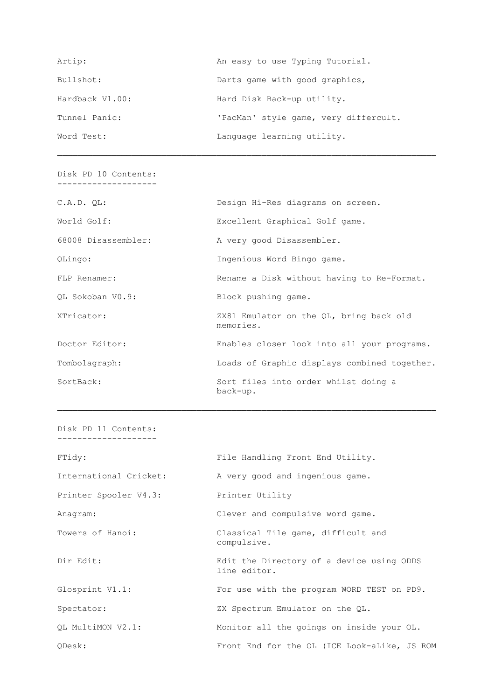| Artip:          | An easy to use Typing Tutorial.       |
|-----------------|---------------------------------------|
| Bullshot:       | Darts game with good graphics,        |
| Hardback V1.00: | Hard Disk Back-up utility.            |
| Tunnel Panic:   | 'PacMan' style game, very differcult. |
| Word Test:      | Language learning utility.            |

 Disk PD 10 Contents: --------------------

| World Golf:<br>Excellent Graphical Golf game.<br>68008 Disassembler:<br>A very good Disassembler.<br>Ingenious Word Bingo game.<br>QLingo:<br>Rename a Disk without having to Re-Format.<br>FLP Renamer:<br>OL Sokoban V0.9:<br>Block pushing game.<br>XTricator:<br>ZX81 Emulator on the QL, bring back old<br>memories.<br>Doctor Editor:<br>Enables closer look into all your programs.<br>Loads of Graphic displays combined together.<br>Tombolagraph: |  |
|-------------------------------------------------------------------------------------------------------------------------------------------------------------------------------------------------------------------------------------------------------------------------------------------------------------------------------------------------------------------------------------------------------------------------------------------------------------|--|
|                                                                                                                                                                                                                                                                                                                                                                                                                                                             |  |
|                                                                                                                                                                                                                                                                                                                                                                                                                                                             |  |
|                                                                                                                                                                                                                                                                                                                                                                                                                                                             |  |
|                                                                                                                                                                                                                                                                                                                                                                                                                                                             |  |
|                                                                                                                                                                                                                                                                                                                                                                                                                                                             |  |
|                                                                                                                                                                                                                                                                                                                                                                                                                                                             |  |
|                                                                                                                                                                                                                                                                                                                                                                                                                                                             |  |
|                                                                                                                                                                                                                                                                                                                                                                                                                                                             |  |
| SortBack:<br>Sort files into order whilst doing a<br>back-up.                                                                                                                                                                                                                                                                                                                                                                                               |  |

────────────────────────────────────────────────────────────────────────────

 Disk PD 11 Contents: --------------------

| FTidy:                 | File Handling Front End Utility.                          |
|------------------------|-----------------------------------------------------------|
| International Cricket: | A very good and ingenious game.                           |
| Printer Spooler V4.3:  | Printer Utility                                           |
| Anagram:               | Clever and compulsive word game.                          |
| Towers of Hanoi:       | Classical Tile game, difficult and<br>compulsive.         |
| Dir Edit:              | Edit the Directory of a device using ODDS<br>line editor. |
| Glosprint V1.1:        | For use with the program WORD TEST on PD9.                |
| Spectator:             | ZX Spectrum Emulator on the QL.                           |
| OL MultiMON V2.1:      | Monitor all the goings on inside your OL.                 |
| ODesk:                 | Front End for the OL (ICE Look-aLike, JS ROM              |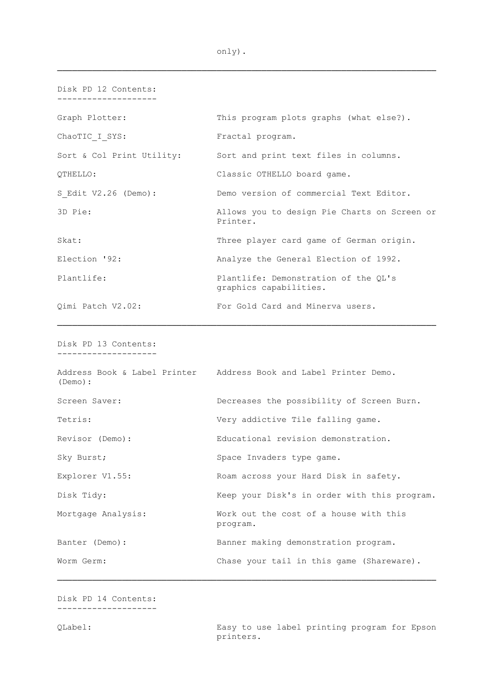| Disk PD 12 Contents:      |                                                                |
|---------------------------|----------------------------------------------------------------|
| Graph Plotter:            | This program plots graphs (what else?).                        |
| ChaoTIC I SYS:            | Fractal program.                                               |
| Sort & Col Print Utility: | Sort and print text files in columns.                          |
| OTHELLO:                  | Classic OTHELLO board game.                                    |
| S Edit V2.26 (Demo):      | Demo version of commercial Text Editor.                        |
| 3D Pie:                   | Allows you to design Pie Charts on Screen or<br>Printer.       |
| Skat:                     | Three player card game of German origin.                       |
| Election '92:             | Analyze the General Election of 1992.                          |
| Plantlife:                | Plantlife: Demonstration of the QL's<br>graphics capabilities. |
| Qimi Patch V2.02:         | For Gold Card and Minerva users.                               |

────────────────────────────────────────────────────────────────────────────

 Disk PD 13 Contents: --------------------

| (Demo):            |          | Address Book & Label Printer Address Book and Label Printer Demo. |
|--------------------|----------|-------------------------------------------------------------------|
| Screen Saver:      |          | Decreases the possibility of Screen Burn.                         |
| Tetris:            |          | Very addictive Tile falling game.                                 |
| Revisor (Demo):    |          | Educational revision demonstration.                               |
| Sky Burst;         |          | Space Invaders type game.                                         |
| Explorer V1.55:    |          | Roam across your Hard Disk in safety.                             |
| Disk Tidy:         |          | Keep your Disk's in order with this program.                      |
| Mortgage Analysis: | program. | Work out the cost of a house with this                            |
| Banter (Demo):     |          | Banner making demonstration program.                              |
| Worm Germ:         |          | Chase your tail in this game (Shareware).                         |

────────────────────────────────────────────────────────────────────────────

 Disk PD 14 Contents: --------------------

 QLabel: Easy to use label printing program for Epson printers.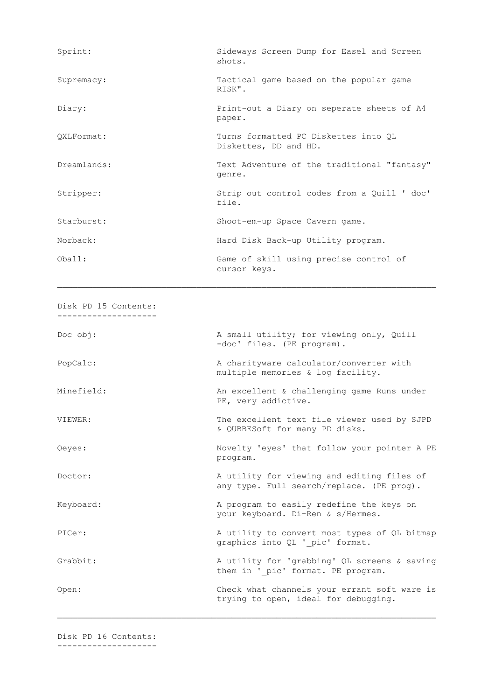| Sprint:     | Sideways Screen Dump for Easel and Screen<br>shots.           |
|-------------|---------------------------------------------------------------|
| Supremacy:  | Tactical game based on the popular game<br>RISK".             |
| Diary:      | Print-out a Diary on seperate sheets of A4<br>paper.          |
| QXLFormat:  | Turns formatted PC Diskettes into QL<br>Diskettes, DD and HD. |
| Dreamlands: | Text Adventure of the traditional "fantasy"<br>genre.         |
| Stripper:   | Strip out control codes from a Quill ' doc'<br>file.          |
| Starburst:  | Shoot-em-up Space Cavern game.                                |
| Norback:    | Hard Disk Back-up Utility program.                            |
| Oha11:      | Game of skill using precise control of<br>cursor keys.        |

 Disk PD 15 Contents: --------------------

Doc obj:  $\qquad \qquad \qquad$  A small utility; for viewing only, Quill -doc' files. (PE program). PopCalc: A charityware calculator/converter with multiple memories & log facility. Minefield: An excellent & challenging game Runs under PE, very addictive. VIEWER: The excellent text file viewer used by SJPD & QUBBESoft for many PD disks. Qeyes: Novelty 'eyes' that follow your pointer A PE program. Doctor: A utility for viewing and editing files of any type. Full search/replace. (PE prog). Keyboard: A program to easily redefine the keys on your keyboard. Di-Ren & s/Hermes. PICer: A utility to convert most types of QL bitmap graphics into QL ' pic' format. Grabbit: A utility for 'grabbing' QL screens & saving them in ' pic' format. PE program. Open: Check what channels your errant soft ware is trying to open, ideal for debugging.

────────────────────────────────────────────────────────────────────────────

Disk PD 16 Contents:

--------------------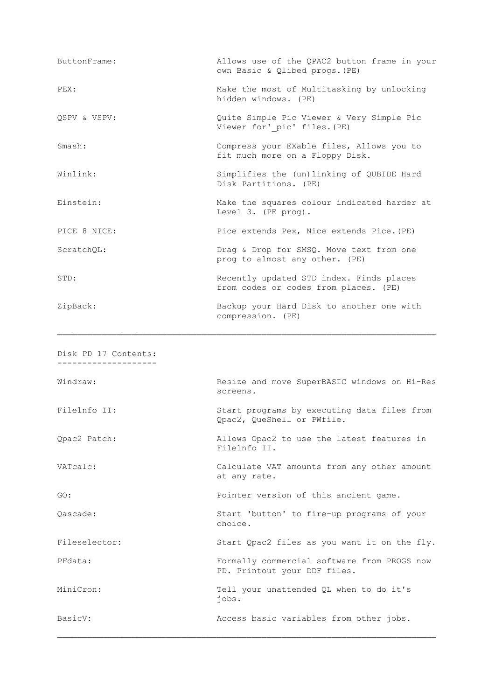| ButtonFrame: | Allows use of the QPAC2 button frame in your<br>own Basic & Qlibed progs. (PE)    |
|--------------|-----------------------------------------------------------------------------------|
| PEX:         | Make the most of Multitasking by unlocking<br>hidden windows. (PE)                |
| OSPV & VSPV: | Quite Simple Pic Viewer & Very Simple Pic<br>Viewer for' pic' files. (PE)         |
| Smash:       | Compress your EXable files, Allows you to<br>fit much more on a Floppy Disk.      |
| Winlink:     | Simplifies the (un)linking of QUBIDE Hard<br>Disk Partitions. (PE)                |
| Einstein:    | Make the squares colour indicated harder at<br>Level 3. (PE prog).                |
| PICE 8 NICE: | Pice extends Pex, Nice extends Pice. (PE)                                         |
| ScratchOL:   | Drag & Drop for SMSQ. Move text from one<br>prog to almost any other. (PE)        |
| STD:         | Recently updated STD index. Finds places<br>from codes or codes from places. (PE) |
| ZipBack:     | Backup your Hard Disk to another one with<br>compression. (PE)                    |

| Disk PD 17 Contents: |                                                                             |
|----------------------|-----------------------------------------------------------------------------|
| Windraw:             | Resize and move SuperBASIC windows on Hi-Res<br>screens.                    |
| Filelnfo II:         | Start programs by executing data files from<br>Qpac2, QueShell or PWfile.   |
| Qpac2 Patch:         | Allows Opac2 to use the latest features in<br>Filelnfo II.                  |
| VATcalc:             | Calculate VAT amounts from any other amount<br>at any rate.                 |
| GO:                  | Pointer version of this ancient game.                                       |
| Oascade:             | Start 'button' to fire-up programs of your<br>choice.                       |
| Fileselector:        | Start Qpac2 files as you want it on the fly.                                |
| PFdata:              | Formally commercial software from PROGS now<br>PD. Printout your DDF files. |
| MiniCron:            | Tell your unattended QL when to do it's<br>jobs.                            |
| BasicV:              | Access basic variables from other jobs.                                     |
|                      |                                                                             |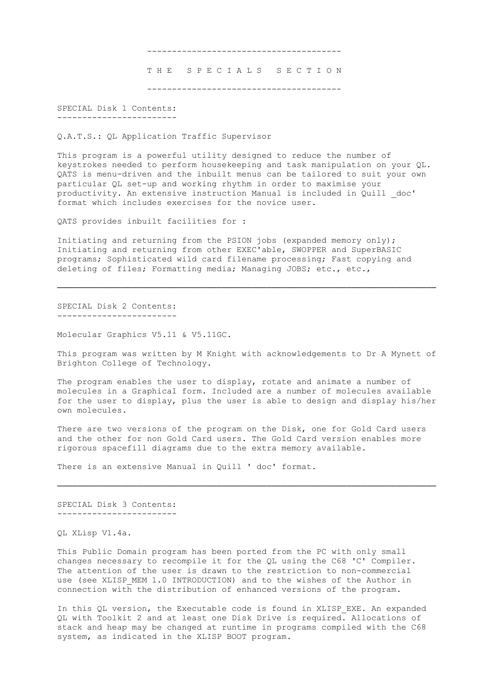--------------------------------------- THE SPECIALS SECTION ---------------------------------------

 SPECIAL Disk 1 Contents: ------------------------

Q.A.T.S.: QL Application Traffic Supervisor

 This program is a powerful utility designed to reduce the number of keystrokes needed to perform housekeeping and task manipulation on your QL. QATS is menu-driven and the inbuilt menus can be tailored to suit your own particular QL set-up and working rhythm in order to maximise your productivity. An extensive instruction Manual is included in Quill \_doc' format which includes exercises for the novice user.

QATS provides inbuilt facilities for :

 Initiating and returning from the PSION jobs (expanded memory only); Initiating and returning from other EXEC'able, SWOPPER and SuperBASIC programs; Sophisticated wild card filename processing; Fast copying and deleting of files; Formatting media; Managing JOBS; etc., etc.,

────────────────────────────────────────────────────────────────────────────

 SPECIAL Disk 2 Contents: ------------------------

Molecular Graphics V5.11 & V5.11GC.

 This program was written by M Knight with acknowledgements to Dr A Mynett of Brighton College of Technology.

The program enables the user to display, rotate and animate a number of molecules in a Graphical form. Included are a number of molecules available for the user to display, plus the user is able to design and display his/her own molecules.

 There are two versions of the program on the Disk, one for Gold Card users and the other for non Gold Card users. The Gold Card version enables more rigorous spacefill diagrams due to the extra memory available.

────────────────────────────────────────────────────────────────────────────

There is an extensive Manual in Quill ' doc' format.

 SPECIAL Disk 3 Contents: ------------------------

QL XLisp V1.4a.

 This Public Domain program has been ported from the PC with only small changes necessary to recompile it for the QL using the C68 'C' Compiler. The attention of the user is drawn to the restriction to non-commercial use (see XLISP MEM 1.0 INTRODUCTION) and to the wishes of the Author in connection with the distribution of enhanced versions of the program.

In this QL version, the Executable code is found in XLISP EXE. An expanded QL with Toolkit 2 and at least one Disk Drive is required. Allocations of stack and heap may be changed at runtime in programs compiled with the C68 system, as indicated in the XLISP BOOT program.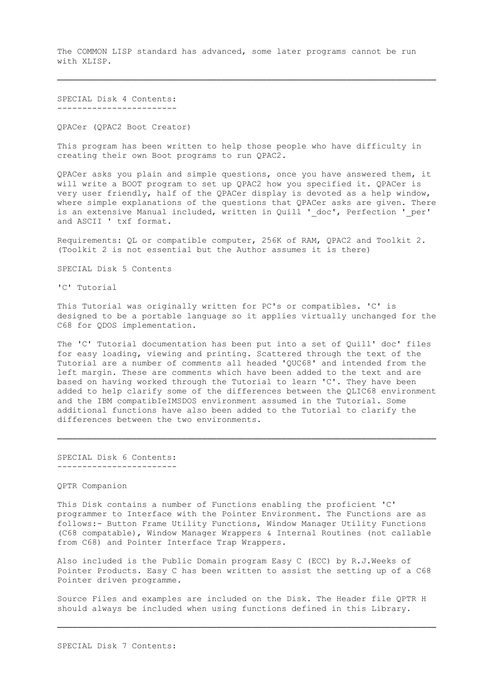The COMMON LISP standard has advanced, some later programs cannot be run with XLISP.

────────────────────────────────────────────────────────────────────────────

 SPECIAL Disk 4 Contents: ------------------------

QPACer (QPAC2 Boot Creator)

 This program has been written to help those people who have difficulty in creating their own Boot programs to run QPAC2.

 QPACer asks you plain and simple questions, once you have answered them, it will write a BOOT program to set up QPAC2 how you specified it. QPACer is very user friendly, half of the QPACer display is devoted as a help window, where simple explanations of the questions that QPACer asks are given. There is an extensive Manual included, written in Quill ' doc', Perfection ' per' and ASCII ' txf format.

 Requirements: QL or compatible computer, 256K of RAM, QPAC2 and Toolkit 2. (Toolkit 2 is not essential but the Author assumes it is there)

SPECIAL Disk 5 Contents

'C' Tutorial

 This Tutorial was originally written for PC's or compatibles. 'C' is designed to be a portable language so it applies virtually unchanged for the C68 for QDOS implementation.

 The 'C' Tutorial documentation has been put into a set of Quill' doc' files for easy loading, viewing and printing. Scattered through the text of the Tutorial are a number of comments all headed 'QUC68' and intended from the left margin. These are comments which have been added to the text and are based on having worked through the Tutorial to learn 'C'. They have been added to help clarify some of the differences between the QLIC68 environment and the IBM compatibIeIMSDOS environment assumed in the Tutorial. Some additional functions have also been added to the Tutorial to clarify the differences between the two environments.

────────────────────────────────────────────────────────────────────────────

 SPECIAL Disk 6 Contents: ------------------------

QPTR Companion

 This Disk contains a number of Functions enabling the proficient 'C' programmer to Interface with the Pointer Environment. The Functions are as follows:- Button Frame Utility Functions, Window Manager Utility Functions (C68 compatable), Window Manager Wrappers & Internal Routines (not callable from C68) and Pointer Interface Trap Wrappers.

 Also included is the Public Domain program Easy C (ECC) by R.J.Weeks of Pointer Products. Easy C has been written to assist the setting up of a C68 Pointer driven programme.

 Source Files and examples are included on the Disk. The Header file QPTR H should always be included when using functions defined in this Library.

────────────────────────────────────────────────────────────────────────────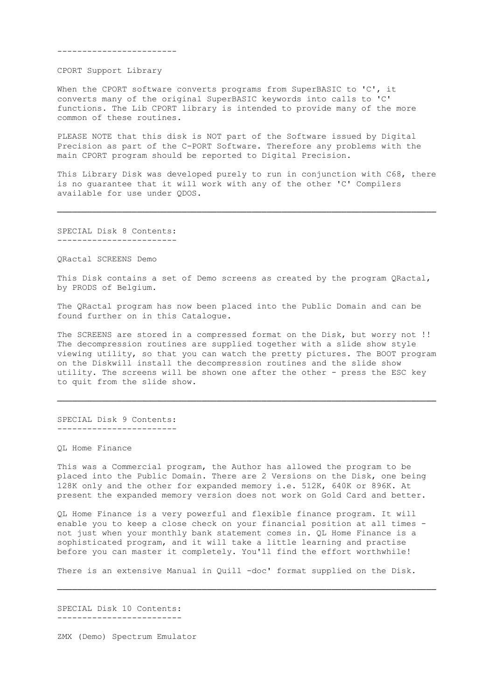------------------------

CPORT Support Library

When the CPORT software converts programs from SuperBASIC to 'C', it converts many of the original SuperBASIC keywords into calls to 'C' functions. The Lib CPORT library is intended to provide many of the more common of these routines.

 PLEASE NOTE that this disk is NOT part of the Software issued by Digital Precision as part of the C-PORT Software. Therefore any problems with the main CPORT program should be reported to Digital Precision.

 This Library Disk was developed purely to run in conjunction with C68, there is no guarantee that it will work with any of the other 'C' Compilers available for use under QDOS.

────────────────────────────────────────────────────────────────────────────

 SPECIAL Disk 8 Contents: ------------------------

QRactal SCREENS Demo

This Disk contains a set of Demo screens as created by the program QRactal, by PRODS of Belgium.

 The QRactal program has now been placed into the Public Domain and can be found further on in this Catalogue.

 The SCREENS are stored in a compressed format on the Disk, but worry not !! The decompression routines are supplied together with a slide show style viewing utility, so that you can watch the pretty pictures. The BOOT program on the Diskwill install the decompression routines and the slide show utility. The screens will be shown one after the other - press the ESC key to quit from the slide show.

────────────────────────────────────────────────────────────────────────────

 SPECIAL Disk 9 Contents: ------------------------

QL Home Finance

 This was a Commercial program, the Author has allowed the program to be placed into the Public Domain. There are 2 Versions on the Disk, one being 128K only and the other for expanded memory i.e. 512K, 640K or 896K. At present the expanded memory version does not work on Gold Card and better.

 QL Home Finance is a very powerful and flexible finance program. It will enable you to keep a close check on your financial position at all times not just when your monthly bank statement comes in. QL Home Finance is a sophisticated program, and it will take a little learning and practise before you can master it completely. You'll find the effort worthwhile!

There is an extensive Manual in Quill -doc' format supplied on the Disk.

────────────────────────────────────────────────────────────────────────────

SPECIAL Disk 10 Contents:

-------------------------

ZMX (Demo) Spectrum Emulator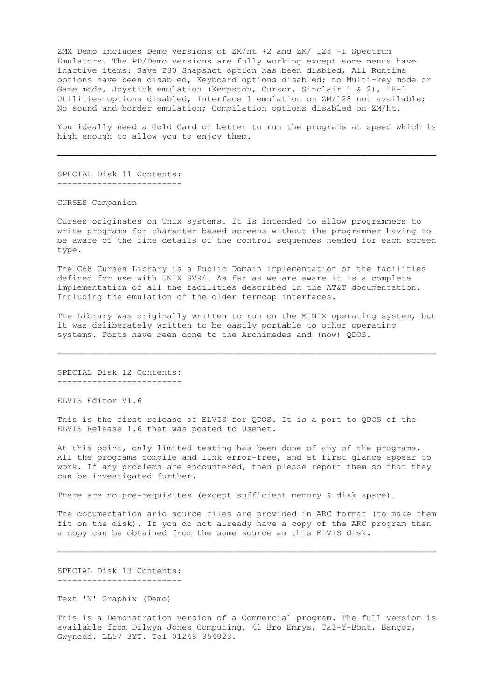ZMX Demo includes Demo versions of ZM/ht +2 and ZM/ 128 +1 Spectrum Emulators. The PD/Demo versions are fully working except some menus have inactive items: Save Z80 Snapshot option has been disbled, All Runtime options have been disabled, Keyboard options disabled; no Multi-key mode or Game mode, Joystick emulation (Kempston, Cursor, Sinclair 1 & 2), IF-1 Utilities options disabled, Interface 1 emulation on ZM/128 not available; No sound and border emulation; Compilation options disabled on ZM/ht.

 You ideally need a Gold Card or better to run the programs at speed which is high enough to allow you to enjoy them.

────────────────────────────────────────────────────────────────────────────

 SPECIAL Disk 11 Contents: -------------------------

CURSES Companion

 Curses originates on Unix systems. It is intended to allow programmers to write programs for character based screens without the programmer having to be aware of the fine details of the control sequences needed for each screen type.

 The C68 Curses Library is a Public Domain implementation of the facilities defined for use with UNIX SVR4. As far as we are aware it is a complete implementation of all the facilities described in the AT&T documentation. Including the emulation of the older termcap interfaces.

 The Library was originally written to run on the MINIX operating system, but it was deliberately written to be easily portable to other operating systems. Ports have been done to the Archimedes and (now) QDOS.

────────────────────────────────────────────────────────────────────────────

 SPECIAL Disk 12 Contents: -------------------------

ELVIS Editor V1.6

 This is the first release of ELVIS for QDOS. It is a port to QDOS of the ELVIS Release 1.6 that was posted to Usenet.

 At this point, only limited testing has been done of any of the programs. All the programs compile and link error-free, and at first glance appear to work. If any problems are encountered, then please report them so that they can be investigated further.

There are no pre-requisites (except sufficient memory & disk space).

 The documentation arid source files are provided in ARC format (to make them fit on the disk). If you do not already have a copy of the ARC program then a copy can be obtained from the same source as this ELVIS disk.

────────────────────────────────────────────────────────────────────────────

 SPECIAL Disk 13 Contents: -------------------------

Text 'N' Graphix (Demo)

 This is a Demonstration version of a Commercial program. The full version is available from Dilwyn Jones Computing, 41 Bro Emrys, TaI-Y-Bont, Bangor, Gwynedd. LL57 3YT. Tel 01248 354023.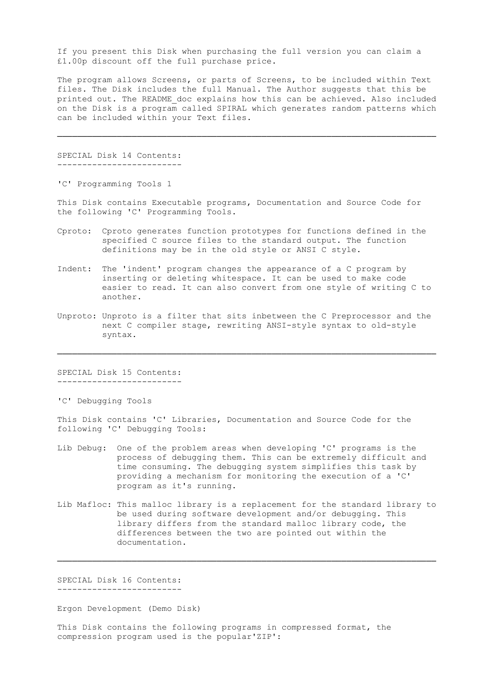If you present this Disk when purchasing the full version you can claim a £1.00p discount off the full purchase price.

 The program allows Screens, or parts of Screens, to be included within Text files. The Disk includes the full Manual. The Author suggests that this be printed out. The README\_doc explains how this can be achieved. Also included on the Disk is a program called SPIRAL which generates random patterns which can be included within your Text files.

────────────────────────────────────────────────────────────────────────────

 SPECIAL Disk 14 Contents: -------------------------

'C' Programming Tools 1

 This Disk contains Executable programs, Documentation and Source Code for the following 'C' Programming Tools.

- Cproto: Cproto generates function prototypes for functions defined in the specified C source files to the standard output. The function definitions may be in the old style or ANSI C style.
- Indent: The 'indent' program changes the appearance of a C program by inserting or deleting whitespace. It can be used to make code easier to read. It can also convert from one style of writing C to another.
- Unproto: Unproto is a filter that sits inbetween the C Preprocessor and the next C compiler stage, rewriting ANSI-style syntax to old-style syntax.

────────────────────────────────────────────────────────────────────────────

 SPECIAL Disk 15 Contents: -------------------------

'C' Debugging Tools

 This Disk contains 'C' Libraries, Documentation and Source Code for the following 'C' Debugging Tools:

- Lib Debug: One of the problem areas when developing 'C' programs is the process of debugging them. This can be extremely difficult and time consuming. The debugging system simplifies this task by providing a mechanism for monitoring the execution of a 'C' program as it's running.
- Lib Mafloc: This malloc library is a replacement for the standard library to be used during software development and/or debugging. This library differs from the standard malloc library code, the differences between the two are pointed out within the documentation.

────────────────────────────────────────────────────────────────────────────

 SPECIAL Disk 16 Contents: -------------------------

Ergon Development (Demo Disk)

 This Disk contains the following programs in compressed format, the compression program used is the popular'ZIP':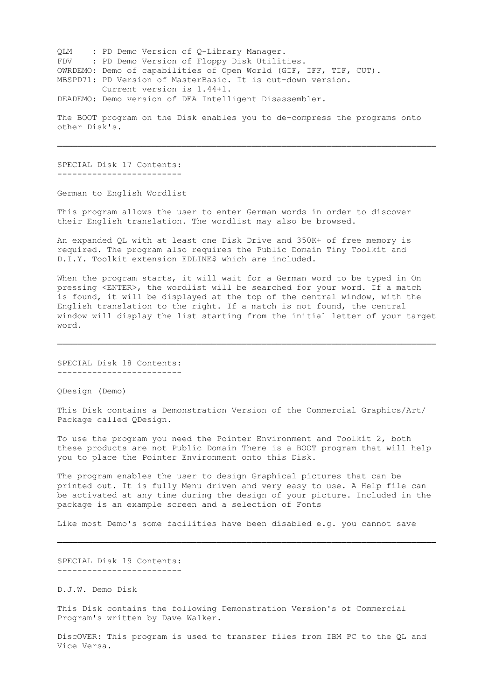QLM : PD Demo Version of Q-Library Manager. FDV : PD Demo Version of Floppy Disk Utilities. OWRDEMO: Demo of capabilities of Open World (GIF, IFF, TIF, CUT). MBSPD71: PD Version of MasterBasic. It is cut-down version. Current version is 1.44+1. DEADEMO: Demo version of DEA Intelligent Disassembler.

 The BOOT program on the Disk enables you to de-compress the programs onto other Disk's.

────────────────────────────────────────────────────────────────────────────

 SPECIAL Disk 17 Contents: -------------------------

German to English Wordlist

 This program allows the user to enter German words in order to discover their English translation. The wordlist may also be browsed.

 An expanded QL with at least one Disk Drive and 350K+ of free memory is required. The program also requires the Public Domain Tiny Toolkit and D.I.Y. Toolkit extension EDLINE\$ which are included.

When the program starts, it will wait for a German word to be typed in On pressing <ENTER>, the wordlist will be searched for your word. If a match is found, it will be displayed at the top of the central window, with the English translation to the right. If a match is not found, the central window will display the list starting from the initial letter of your target word.

────────────────────────────────────────────────────────────────────────────

 SPECIAL Disk 18 Contents: -------------------------

QDesign (Demo)

 This Disk contains a Demonstration Version of the Commercial Graphics/Art/ Package called QDesign.

 To use the program you need the Pointer Environment and Toolkit 2, both these products are not Public Domain There is a BOOT program that will help you to place the Pointer Environment onto this Disk.

 The program enables the user to design Graphical pictures that can be printed out. It is fully Menu driven and very easy to use. A Help file can be activated at any time during the design of your picture. Included in the package is an example screen and a selection of Fonts

Like most Demo's some facilities have been disabled e.g. you cannot save

────────────────────────────────────────────────────────────────────────────

 SPECIAL Disk 19 Contents: -------------------------

D.J.W. Demo Disk

 This Disk contains the following Demonstration Version's of Commercial Program's written by Dave Walker.

 DiscOVER: This program is used to transfer files from IBM PC to the QL and Vice Versa.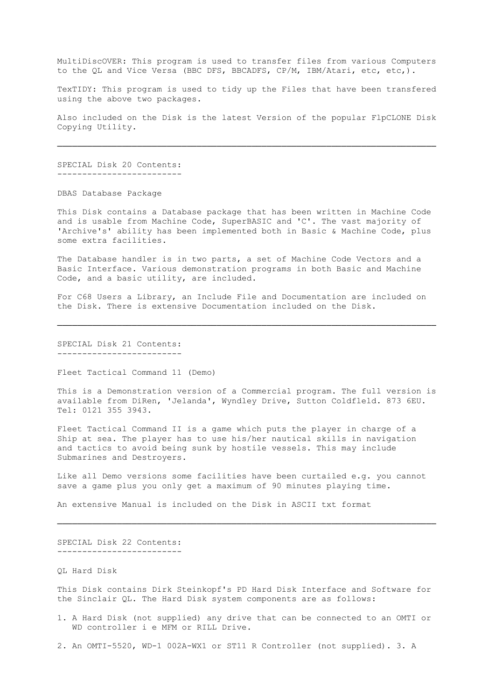MultiDiscOVER: This program is used to transfer files from various Computers to the QL and Vice Versa (BBC DFS, BBCADFS, CP/M, IBM/Atari, etc, etc,).

 TexTIDY: This program is used to tidy up the Files that have been transfered using the above two packages.

 Also included on the Disk is the latest Version of the popular FlpCLONE Disk Copying Utility.

────────────────────────────────────────────────────────────────────────────

 SPECIAL Disk 20 Contents: -------------------------

DBAS Database Package

 This Disk contains a Database package that has been written in Machine Code and is usable from Machine Code, SuperBASIC and 'C'. The vast majority of 'Archive's' ability has been implemented both in Basic & Machine Code, plus some extra facilities.

 The Database handler is in two parts, a set of Machine Code Vectors and a Basic Interface. Various demonstration programs in both Basic and Machine Code, and a basic utility, are included.

 For C68 Users a Library, an Include File and Documentation are included on the Disk. There is extensive Documentation included on the Disk.

────────────────────────────────────────────────────────────────────────────

 SPECIAL Disk 21 Contents: -------------------------

Fleet Tactical Command 11 (Demo)

 This is a Demonstration version of a Commercial program. The full version is available from DiRen, 'Jelanda', Wyndley Drive, Sutton Coldfleld. 873 6EU. Tel: 0121 355 3943.

 Fleet Tactical Command II is a game which puts the player in charge of a Ship at sea. The player has to use his/her nautical skills in navigation and tactics to avoid being sunk by hostile vessels. This may include Submarines and Destroyers.

 Like all Demo versions some facilities have been curtailed e.g. you cannot save a game plus you only get a maximum of 90 minutes playing time.

────────────────────────────────────────────────────────────────────────────

An extensive Manual is included on the Disk in ASCII txt format

 SPECIAL Disk 22 Contents: -------------------------

QL Hard Disk

 This Disk contains Dirk Steinkopf's PD Hard Disk Interface and Software for the Sinclair QL. The Hard Disk system components are as follows:

- 1. A Hard Disk (not supplied) any drive that can be connected to an OMTI or WD controller i e MFM or RILL Drive.
- 2. An OMTI-5520, WD-1 002A-WX1 or ST11 R Controller (not supplied). 3. A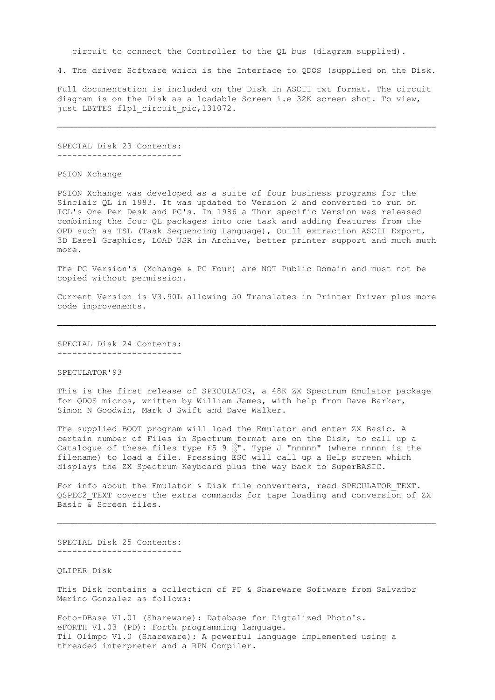circuit to connect the Controller to the QL bus (diagram supplied).

4. The driver Software which is the Interface to QDOS (supplied on the Disk.

 Full documentation is included on the Disk in ASCII txt format. The circuit diagram is on the Disk as a loadable Screen i.e 32K screen shot. To view, just LBYTES flp1\_circuit\_pic,131072.

────────────────────────────────────────────────────────────────────────────

 SPECIAL Disk 23 Contents: -------------------------

PSION Xchange

 PSION Xchange was developed as a suite of four business programs for the Sinclair QL in 1983. It was updated to Version 2 and converted to run on ICL's One Per Desk and PC's. In 1986 a Thor specific Version was released combining the four QL packages into one task and adding features from the OPD such as TSL (Task Sequencing Language), Quill extraction ASCII Export, 3D Easel Graphics, LOAD USR in Archive, better printer support and much much more.

 The PC Version's (Xchange & PC Four) are NOT Public Domain and must not be copied without permission.

 Current Version is V3.90L allowing 50 Translates in Printer Driver plus more code improvements.

────────────────────────────────────────────────────────────────────────────

 SPECIAL Disk 24 Contents: -------------------------

# SPECULATOR'93

 This is the first release of SPECULATOR, a 48K ZX Spectrum Emulator package for QDOS micros, written by William James, with help from Dave Barker, Simon N Goodwin, Mark J Swift and Dave Walker.

 The supplied BOOT program will load the Emulator and enter ZX Basic. A certain number of Files in Spectrum format are on the Disk, to call up a Catalogue of these files type  $F5 9$  . Type J "nnnnn" (where nnnnn is the filename) to load a file. Pressing ESC will call up a Help screen which displays the ZX Spectrum Keyboard plus the way back to SuperBASIC.

For info about the Emulator & Disk file converters, read SPECULATOR TEXT. QSPEC2\_TEXT covers the extra commands for tape loading and conversion of ZX Basic & Screen files.

────────────────────────────────────────────────────────────────────────────

 SPECIAL Disk 25 Contents: -------------------------

QLIPER Disk

 This Disk contains a collection of PD & Shareware Software from Salvador Merino Gonzalez as follows:

 Foto-DBase V1.01 (Shareware): Database for Digtalized Photo's. eFORTH V1.03 (PD): Forth programming language. Til Olimpo V1.0 (Shareware): A powerful language implemented using a threaded interpreter and a RPN Compiler.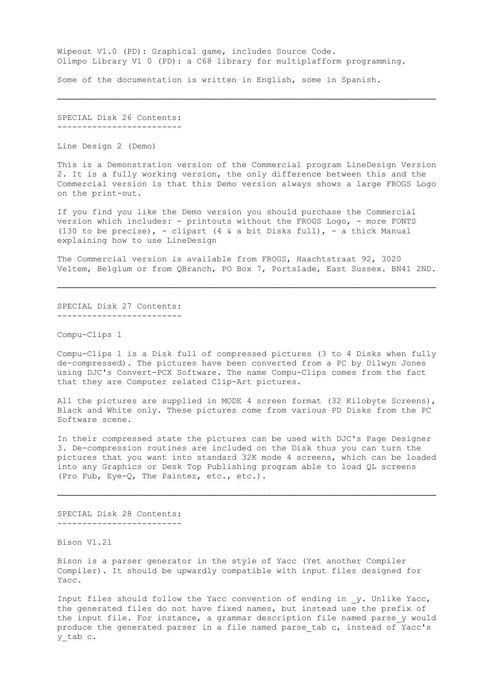Wipeout V1.0 (PD): Graphical game, includes Source Code. Olimpo Library V1 0 (PD): a C68 library for multiplafform programming.

────────────────────────────────────────────────────────────────────────────

Some of the documentation is written in English, some in Spanish.

 SPECIAL Disk 26 Contents: -------------------------

Line Design 2 (Demo)

 This is a Demonstration version of the Commercial program LineDesign Version 2. It is a fully working version, the only difference between this and the Commercial version is that this Demo version always shows a large FROGS Logo on the print-out.

 If you find you like the Demo version you should purchase the Commercial version which includes: - printouts without the FROGS Logo, - more FONTS (130 to be precise), - clipart (4 & a bit Disks full), - a thick Manual explaining how to use LineDesign

 The Commercial version is available from FROGS, Haachtstraat 92, 3020 Veltem, Belgium or from QBranch, PO Box 7, Portslade, East Sussex. BN41 2ND.

────────────────────────────────────────────────────────────────────────────

 SPECIAL Disk 27 Contents: -------------------------

Compu-Clips 1

 Compu-Clips 1 is a Disk full of compressed pictures (3 to 4 Disks when fully de-compressed). The pictures have been converted from a PC by Dilwyn Jones using DJC's Convert-PCX Software. The name Compu-Clips comes from the fact that they are Computer related Clip-Art pictures.

 All the pictures are supplied in MODE 4 screen format (32 Kilobyte Screens), Black and White only. These pictures come from various PD Disks from the PC Software scene.

 In their compressed state the pictures can be used with DJC's Page Designer 3. De-compression routines are included on the Disk thus you can turn the pictures that you want into standard 32K mode 4 screens, which can be loaded into any Graphics or Desk Top Publishing program able to load QL screens (Pro Pub, Eye-Q, The Painter, etc., etc.).

────────────────────────────────────────────────────────────────────────────

 SPECIAL Disk 28 Contents: -------------------------

Bison V1.21

 Bison is a parser generator in the style of Yacc (Yet another Compiler Compiler). It should be upwardly compatible with input files designed for Yacc.

Input files should follow the Yacc convention of ending in y. Unlike Yacc, the generated files do not have fixed names, but instead use the prefix of the input file. For instance, a grammar description file named parse y would produce the generated parser in a file named parse\_tab c, instead of Yacc's y\_tab c.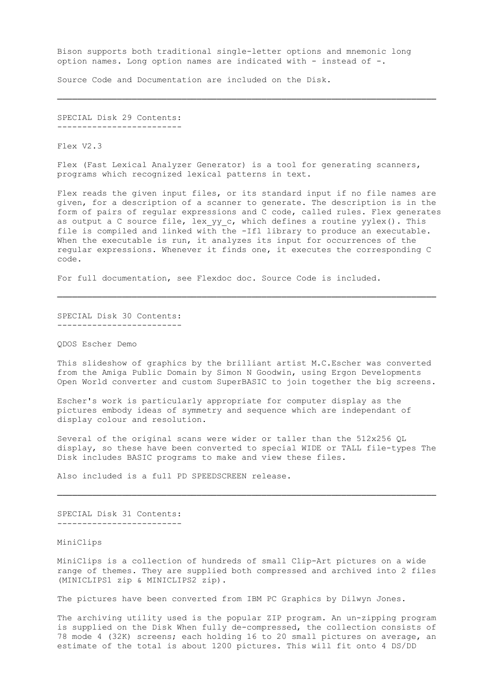Bison supports both traditional single-letter options and mnemonic long option names. Long option names are indicated with - instead of -.

────────────────────────────────────────────────────────────────────────────

Source Code and Documentation are included on the Disk.

 SPECIAL Disk 29 Contents: -------------------------

Flex V2.3

 Flex (Fast Lexical Analyzer Generator) is a tool for generating scanners, programs which recognized lexical patterns in text.

 Flex reads the given input files, or its standard input if no file names are given, for a description of a scanner to generate. The description is in the form of pairs of regular expressions and C code, called rules. Flex generates as output a C source file, lex yy c, which defines a routine yylex(). This file is compiled and linked with the -Ifl library to produce an executable. When the executable is run, it analyzes its input for occurrences of the regular expressions. Whenever it finds one, it executes the corresponding C code.

For full documentation, see Flexdoc doc. Source Code is included.

 SPECIAL Disk 30 Contents: -------------------------

QDOS Escher Demo

 This slideshow of graphics by the brilliant artist M.C.Escher was converted from the Amiga Public Domain by Simon N Goodwin, using Ergon Developments Open World converter and custom SuperBASIC to join together the big screens.

────────────────────────────────────────────────────────────────────────────

 Escher's work is particularly appropriate for computer display as the pictures embody ideas of symmetry and sequence which are independant of display colour and resolution.

 Several of the original scans were wider or taller than the 512x256 QL display, so these have been converted to special WIDE or TALL file-types The Disk includes BASIC programs to make and view these files.

────────────────────────────────────────────────────────────────────────────

Also included is a full PD SPEEDSCREEN release.

 SPECIAL Disk 31 Contents: -------------------------

MiniClips

 MiniClips is a collection of hundreds of small Clip-Art pictures on a wide range of themes. They are supplied both compressed and archived into 2 files (MINICLIPS1 zip & MINICLIPS2 zip).

The pictures have been converted from IBM PC Graphics by Dilwyn Jones.

 The archiving utility used is the popular ZIP program. An un-zipping program is supplied on the Disk When fully de-compressed, the collection consists of 78 mode 4 (32K) screens; each holding 16 to 20 small pictures on average, an estimate of the total is about 1200 pictures. This will fit onto 4 DS/DD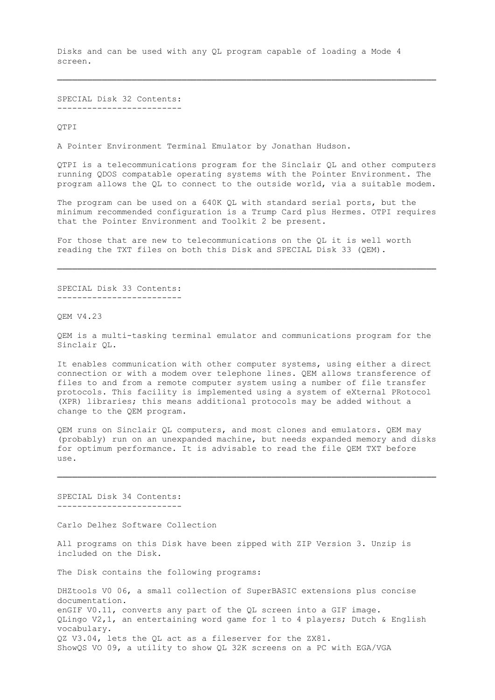Disks and can be used with any QL program capable of loading a Mode 4 screen.

────────────────────────────────────────────────────────────────────────────

 SPECIAL Disk 32 Contents: -------------------------

QTPI

A Pointer Environment Terminal Emulator by Jonathan Hudson.

 QTPI is a telecommunications program for the Sinclair QL and other computers running QDOS compatable operating systems with the Pointer Environment. The program allows the QL to connect to the outside world, via a suitable modem.

 The program can be used on a 640K QL with standard serial ports, but the minimum recommended configuration is a Trump Card plus Hermes. OTPI requires that the Pointer Environment and Toolkit 2 be present.

 For those that are new to telecommunications on the QL it is well worth reading the TXT files on both this Disk and SPECIAL Disk 33 (QEM).

────────────────────────────────────────────────────────────────────────────

 SPECIAL Disk 33 Contents: -------------------------

QEM V4.23

 QEM is a multi-tasking terminal emulator and communications program for the Sinclair QL.

 It enables communication with other computer systems, using either a direct connection or with a modem over telephone lines. QEM allows transference of files to and from a remote computer system using a number of file transfer protocols. This facility is implemented using a system of eXternal PRotocol (XPR) libraries; this means additional protocols may be added without a change to the QEM program.

 QEM runs on Sinclair QL computers, and most clones and emulators. QEM may (probably) run on an unexpanded machine, but needs expanded memory and disks for optimum performance. It is advisable to read the file QEM TXT before use.

────────────────────────────────────────────────────────────────────────────

 SPECIAL Disk 34 Contents: -------------------------

Carlo Delhez Software Collection

 All programs on this Disk have been zipped with ZIP Version 3. Unzip is included on the Disk.

The Disk contains the following programs:

 DHZtools V0 06, a small collection of SuperBASIC extensions plus concise documentation. enGIF V0.11, converts any part of the QL screen into a GIF image. QLingo V2,1, an entertaining word game for 1 to 4 players; Dutch & English vocabulary. QZ V3.04, lets the QL act as a fileserver for the ZX81. ShowQS VO 09, a utility to show QL 32K screens on a PC with EGA/VGA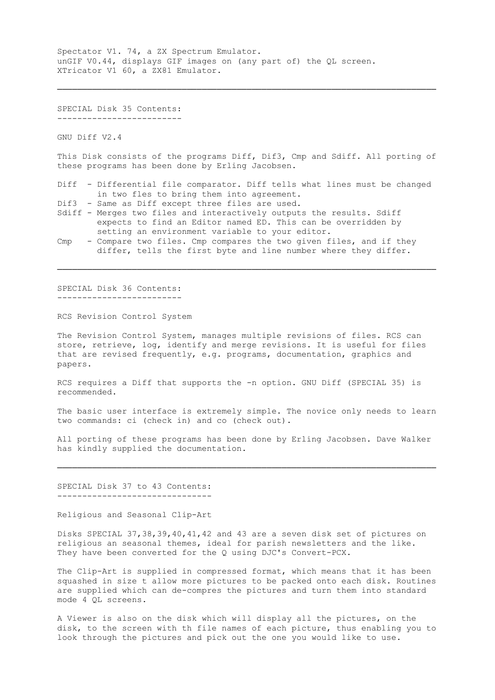Spectator V1. 74, a ZX Spectrum Emulator. unGIF V0.44, displays GIF images on (any part of) the QL screen. XTricator V1 60, a ZX81 Emulator.

 SPECIAL Disk 35 Contents: -------------------------

GNU Diff V2.4

 This Disk consists of the programs Diff, Dif3, Cmp and Sdiff. All porting of these programs has been done by Erling Jacobsen.

────────────────────────────────────────────────────────────────────────────

- Diff Differential file comparator. Diff tells what lines must be changed in two fles to bring them into agreement.
- Dif3 Same as Diff except three files are used.
- Sdiff Merges two files and interactively outputs the results. Sdiff expects to find an Editor named ED. This can be overridden by setting an environment variable to your editor.
- Cmp Compare two files. Cmp compares the two given files, and if they differ, tells the first byte and line number where they differ.

────────────────────────────────────────────────────────────────────────────

 SPECIAL Disk 36 Contents: -------------------------

RCS Revision Control System

 The Revision Control System, manages multiple revisions of files. RCS can store, retrieve, log, identify and merge revisions. It is useful for files that are revised frequently, e.g. programs, documentation, graphics and papers.

 RCS requires a Diff that supports the -n option. GNU Diff (SPECIAL 35) is recommended.

 The basic user interface is extremely simple. The novice only needs to learn two commands: ci (check in) and co (check out).

 All porting of these programs has been done by Erling Jacobsen. Dave Walker has kindly supplied the documentation.

────────────────────────────────────────────────────────────────────────────

SPECIAL Disk 37 to 43 Contents:

-------------------------------

Religious and Seasonal Clip-Art

 Disks SPECIAL 37,38,39,40,41,42 and 43 are a seven disk set of pictures on religious an seasonal themes, ideal for parish newsletters and the like. They have been converted for the Q using DJC's Convert-PCX.

 The Clip-Art is supplied in compressed format, which means that it has been squashed in size t allow more pictures to be packed onto each disk. Routines are supplied which can de-compres the pictures and turn them into standard mode 4 QL screens.

 A Viewer is also on the disk which will display all the pictures, on the disk, to the screen with th file names of each picture, thus enabling you to look through the pictures and pick out the one you would like to use.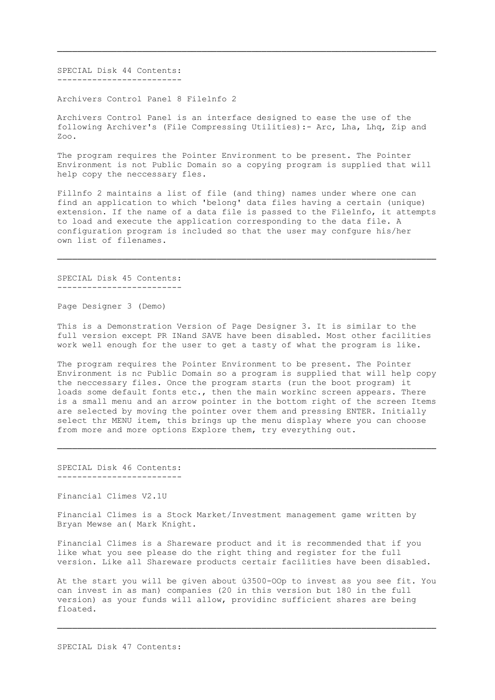SPECIAL Disk 44 Contents: -------------------------

Archivers Control Panel 8 Filelnfo 2

 Archivers Control Panel is an interface designed to ease the use of the following Archiver's (File Compressing Utilities):- Arc, Lha, Lhq, Zip and Zoo.

────────────────────────────────────────────────────────────────────────────

 The program requires the Pointer Environment to be present. The Pointer Environment is not Public Domain so a copying program is supplied that will help copy the neccessary fles.

 Fillnfo 2 maintains a list of file (and thing) names under where one can find an application to which 'belong' data files having a certain (unique) extension. If the name of a data file is passed to the Filelnfo, it attempts to load and execute the application corresponding to the data file. A configuration program is included so that the user may confgure his/her own list of filenames.

────────────────────────────────────────────────────────────────────────────

 SPECIAL Disk 45 Contents: -------------------------

Page Designer 3 (Demo)

 This is a Demonstration Version of Page Designer 3. It is similar to the full version except PR INand SAVE have been disabled. Most other facilities work well enough for the user to get a tasty of what the program is like.

 The program requires the Pointer Environment to be present. The Pointer Environment is nc Public Domain so a program is supplied that will help copy the neccessary files. Once the program starts (run the boot program) it loads some default fonts etc., then the main workinc screen appears. There is a small menu and an arrow pointer in the bottom right of the screen Items are selected by moving the pointer over them and pressing ENTER. Initially select thr MENU item, this brings up the menu display where you can choose from more and more options Explore them, try everything out.

────────────────────────────────────────────────────────────────────────────

 SPECIAL Disk 46 Contents: -------------------------

Financial Climes V2.1U

 Financial Climes is a Stock Market/Investment management game written by Bryan Mewse an( Mark Knight.

 Financial Climes is a Shareware product and it is recommended that if you like what you see please do the right thing and register for the full version. Like all Shareware products certair facilities have been disabled.

 At the start you will be given about ú3500-OOp to invest as you see fit. You can invest in as man) companies (20 in this version but 180 in the full version) as your funds will allow, providinc sufficient shares are being floated.

────────────────────────────────────────────────────────────────────────────

SPECIAL Disk 47 Contents: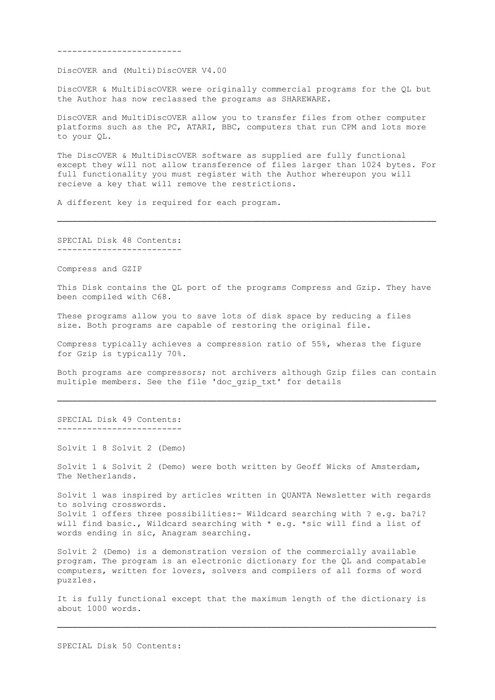-------------------------

DiscOVER and (Multi)DiscOVER V4.00

 DiscOVER & MultiDiscOVER were originally commercial programs for the QL but the Author has now reclassed the programs as SHAREWARE.

 DiscOVER and MultiDiscOVER allow you to transfer files from other computer platforms such as the PC, ATARI, BBC, computers that run CPM and lots more to your QL.

 The DiscOVER & MultiDiscOVER software as supplied are fully functional except they will not allow transference of files larger than 1024 bytes. For full functionality you must register with the Author whereupon you will recieve a key that will remove the restrictions.

────────────────────────────────────────────────────────────────────────────

A different key is required for each program.

 SPECIAL Disk 48 Contents: -------------------------

Compress and GZIP

 This Disk contains the QL port of the programs Compress and Gzip. They have been compiled with C68.

 These programs allow you to save lots of disk space by reducing a files size. Both programs are capable of restoring the original file.

 Compress typically achieves a compression ratio of 55%, wheras the figure for Gzip is typically 70%.

 Both programs are compressors; not archivers although Gzip files can contain multiple members. See the file 'doc gzip txt' for details

────────────────────────────────────────────────────────────────────────────

 SPECIAL Disk 49 Contents: -------------------------

Solvit 1 8 Solvit 2 (Demo)

 Solvit 1 & Solvit 2 (Demo) were both written by Geoff Wicks of Amsterdam, The Netherlands.

 Solvit 1 was inspired by articles written in QUANTA Newsletter with regards to solving crosswords. Solvit 1 offers three possibilities: - Wildcard searching with ? e.g. ba?i? will find basic., Wildcard searching with  $*$  e.g.  $*$ sic will find a list of words ending in sic, Anagram searching.

 Solvit 2 (Demo) is a demonstration version of the commercially available program. The program is an electronic dictionary for the QL and compatable computers, written for lovers, solvers and compilers of all forms of word puzzles.

 It is fully functional except that the maximum length of the dictionary is about 1000 words.

────────────────────────────────────────────────────────────────────────────

SPECIAL Disk 50 Contents: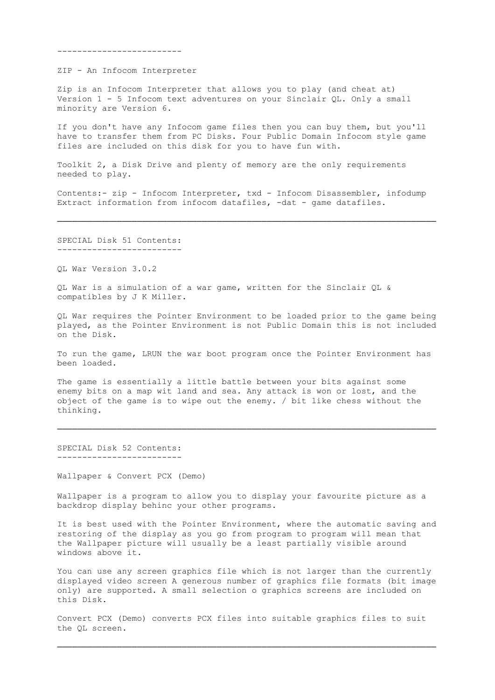-------------------------

ZIP - An Infocom Interpreter

 Zip is an Infocom Interpreter that allows you to play (and cheat at) Version 1 - 5 Infocom text adventures on your Sinclair QL. Only a small minority are Version 6.

 If you don't have any Infocom game files then you can buy them, but you'll have to transfer them from PC Disks. Four Public Domain Infocom style game files are included on this disk for you to have fun with.

 Toolkit 2, a Disk Drive and plenty of memory are the only requirements needed to play.

 Contents:- zip - Infocom Interpreter, txd - Infocom Disassembler, infodump Extract information from infocom datafiles, -dat - game datafiles.

────────────────────────────────────────────────────────────────────────────

 SPECIAL Disk 51 Contents: -------------------------

QL War Version 3.0.2

 QL War is a simulation of a war game, written for the Sinclair QL & compatibles by J K Miller.

 QL War requires the Pointer Environment to be loaded prior to the game being played, as the Pointer Environment is not Public Domain this is not included on the Disk.

 To run the game, LRUN the war boot program once the Pointer Environment has been loaded.

 The game is essentially a little battle between your bits against some enemy bits on a map wit land and sea. Any attack is won or lost, and the object of the game is to wipe out the enemy. / bit like chess without the thinking.

────────────────────────────────────────────────────────────────────────────

 SPECIAL Disk 52 Contents: -------------------------

Wallpaper & Convert PCX (Demo)

 Wallpaper is a program to allow you to display your favourite picture as a backdrop display behinc your other programs.

 It is best used with the Pointer Environment, where the automatic saving and restoring of the display as you go from program to program will mean that the Wallpaper picture will usually be a least partially visible around windows above it.

 You can use any screen graphics file which is not larger than the currently displayed video screen A generous number of graphics file formats (bit image only) are supported. A small selection o graphics screens are included on this Disk.

 Convert PCX (Demo) converts PCX files into suitable graphics files to suit the QL screen.

────────────────────────────────────────────────────────────────────────────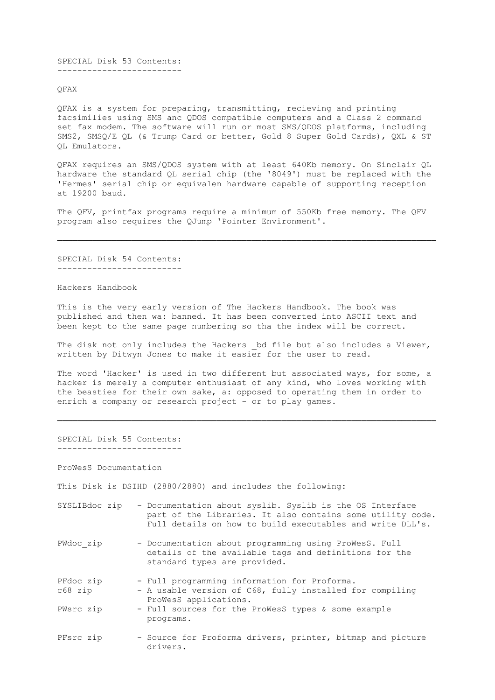SPECIAL Disk 53 Contents: -------------------------

QFAX

 QFAX is a system for preparing, transmitting, recieving and printing facsimilies using SMS anc QDOS compatible computers and a Class 2 command set fax modem. The software will run or most SMS/QDOS platforms, including SMS2, SMSQ/E QL (& Trump Card or better, Gold 8 Super Gold Cards), QXL & ST QL Emulators.

 QFAX requires an SMS/QDOS system with at least 640Kb memory. On Sinclair QL hardware the standard QL serial chip (the '8049') must be replaced with the 'Hermes' serial chip or equivalen hardware capable of supporting reception at 19200 baud.

 The QFV, printfax programs require a minimum of 550Kb free memory. The QFV program also requires the QJump 'Pointer Environment'.

────────────────────────────────────────────────────────────────────────────

 SPECIAL Disk 54 Contents: -------------------------

Hackers Handbook

 This is the very early version of The Hackers Handbook. The book was published and then wa: banned. It has been converted into ASCII text and been kept to the same page numbering so tha the index will be correct.

The disk not only includes the Hackers bd file but also includes a Viewer, written by Ditwyn Jones to make it easier for the user to read.

 The word 'Hacker' is used in two different but associated ways, for some, a hacker is merely a computer enthusiast of any kind, who loves working with the beasties for their own sake, a: opposed to operating them in order to enrich a company or research project - or to play games.

────────────────────────────────────────────────────────────────────────────

### SPECIAL Disk 55 Contents: -------------------------

ProWesS Documentation

This Disk is DSIHD (2880/2880) and includes the following:

- SYSLIBdoc zip Documentation about syslib. Syslib is the OS Interface part of the Libraries. It also contains some utility code. Full details on how to build executables and write DLL's.
- PWdoc zip Documentation about programming using ProWesS. Full details of the available tags and definitions for the standard types are provided.
- PFdoc zip Full programming information for Proforma.
- c68 zip A usable version of C68, fully installed for compiling ProWesS applications.
- PWsrc zip Full sources for the ProWesS types & some example programs.
- PFsrc zip Source for Proforma drivers, printer, bitmap and picture drivers.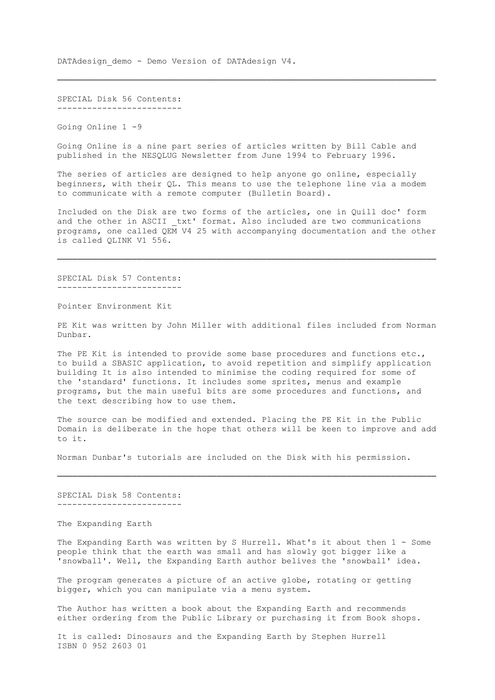DATAdesign demo - Demo Version of DATAdesign V4.

 SPECIAL Disk 56 Contents: -------------------------

Going Online 1 -9

 Going Online is a nine part series of articles written by Bill Cable and published in the NESQLUG Newsletter from June 1994 to February 1996.

────────────────────────────────────────────────────────────────────────────

 The series of articles are designed to help anyone go online, especially beginners, with their QL. This means to use the telephone line via a modem to communicate with a remote computer (Bulletin Board).

 Included on the Disk are two forms of the articles, one in Quill doc' form and the other in ASCII txt' format. Also included are two communications programs, one called QEM V4 25 with accompanying documentation and the other is called QLINK V1 556.

────────────────────────────────────────────────────────────────────────────

 SPECIAL Disk 57 Contents: -------------------------

Pointer Environment Kit

 PE Kit was written by John Miller with additional files included from Norman Dunbar.

 The PE Kit is intended to provide some base procedures and functions etc., to build a SBASIC application, to avoid repetition and simplify application building It is also intended to minimise the coding required for some of the 'standard' functions. It includes some sprites, menus and example programs, but the main useful bits are some procedures and functions, and the text describing how to use them.

 The source can be modified and extended. Placing the PE Kit in the Public Domain is deliberate in the hope that others will be keen to improve and add to it.

Norman Dunbar's tutorials are included on the Disk with his permission.

────────────────────────────────────────────────────────────────────────────

 SPECIAL Disk 58 Contents: -------------------------

The Expanding Earth

The Expanding Earth was written by S Hurrell. What's it about then 1 - Some people think that the earth was small and has slowly got bigger like a 'snowball'. Well, the Expanding Earth author belives the 'snowball' idea.

 The program generates a picture of an active globe, rotating or getting bigger, which you can manipulate via a menu system.

 The Author has written a book about the Expanding Earth and recommends either ordering from the Public Library or purchasing it from Book shops.

 It is called: Dinosaurs and the Expanding Earth by Stephen Hurrell ISBN 0 952 2603 01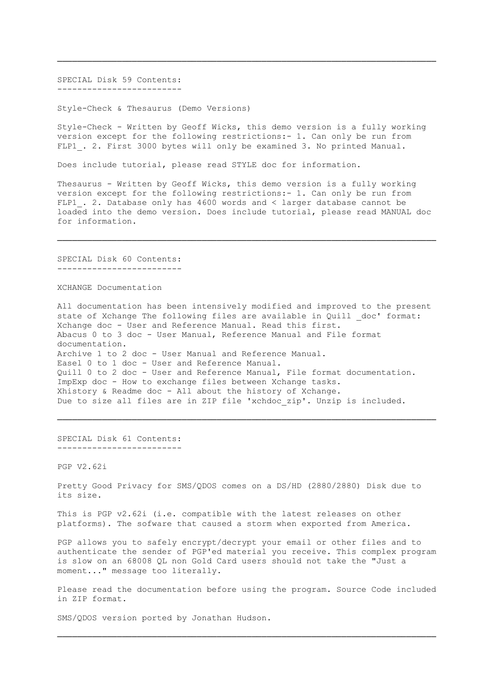SPECIAL Disk 59 Contents: -------------------------

Style-Check & Thesaurus (Demo Versions)

 Style-Check - Written by Geoff Wicks, this demo version is a fully working version except for the following restrictions:- 1. Can only be run from FLP1 . 2. First 3000 bytes will only be examined 3. No printed Manual.

────────────────────────────────────────────────────────────────────────────

Does include tutorial, please read STYLE doc for information.

 Thesaurus - Written by Geoff Wicks, this demo version is a fully working version except for the following restrictions:- 1. Can only be run from FLP1 . 2. Database only has 4600 words and < larger database cannot be loaded into the demo version. Does include tutorial, please read MANUAL doc for information.

────────────────────────────────────────────────────────────────────────────

 SPECIAL Disk 60 Contents: -------------------------

XCHANGE Documentation

 All documentation has been intensively modified and improved to the present state of Xchange The following files are available in Quill doc' format: Xchange doc - User and Reference Manual. Read this first. Abacus 0 to 3 doc - User Manual, Reference Manual and File format documentation. Archive 1 to 2 doc - User Manual and Reference Manual. Easel 0 to 1 doc - User and Reference Manual. Quill 0 to 2 doc - User and Reference Manual, File format documentation. ImpExp doc - How to exchange files between Xchange tasks. Xhistory & Readme doc - All about the history of Xchange. Due to size all files are in ZIP file 'xchdoc zip'. Unzip is included.

────────────────────────────────────────────────────────────────────────────

 SPECIAL Disk 61 Contents: -------------------------

PGP V2.62i

 Pretty Good Privacy for SMS/QDOS comes on a DS/HD (2880/2880) Disk due to its size.

 This is PGP v2.62i (i.e. compatible with the latest releases on other platforms). The sofware that caused a storm when exported from America.

 PGP allows you to safely encrypt/decrypt your email or other files and to authenticate the sender of PGP'ed material you receive. This complex program is slow on an 68008 QL non Gold Card users should not take the "Just a moment..." message too literally.

 Please read the documentation before using the program. Source Code included in ZIP format.

────────────────────────────────────────────────────────────────────────────

SMS/QDOS version ported by Jonathan Hudson.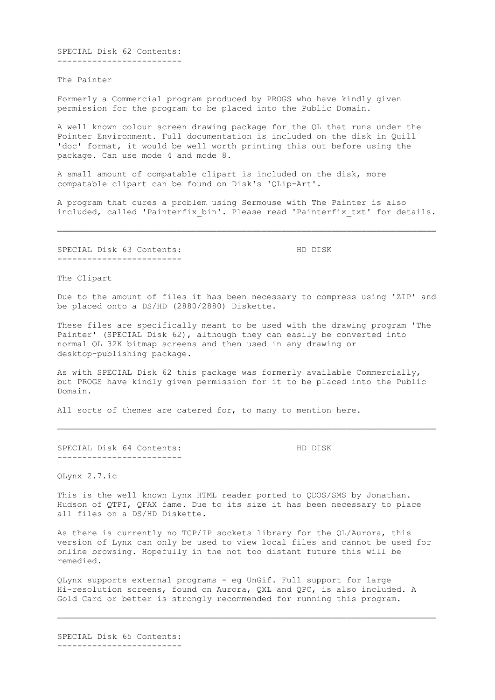SPECIAL Disk 62 Contents: -------------------------

The Painter

 Formerly a Commercial program produced by PROGS who have kindly given permission for the program to be placed into the Public Domain.

 A well known colour screen drawing package for the QL that runs under the Pointer Environment. Full documentation is included on the disk in Quill 'doc' format, it would be well worth printing this out before using the package. Can use mode 4 and mode 8.

 A small amount of compatable clipart is included on the disk, more compatable clipart can be found on Disk's 'QLip-Art'.

 A program that cures a problem using Sermouse with The Painter is also included, called 'Painterfix bin'. Please read 'Painterfix txt' for details.

────────────────────────────────────────────────────────────────────────────

SPECIAL Disk 63 Contents: HD DISK -------------------------

The Clipart

 Due to the amount of files it has been necessary to compress using 'ZIP' and be placed onto a DS/HD (2880/2880) Diskette.

 These files are specifically meant to be used with the drawing program 'The Painter' (SPECIAL Disk 62), although they can easily be converted into normal QL 32K bitmap screens and then used in any drawing or desktop-publishing package.

 As with SPECIAL Disk 62 this package was formerly available Commercially, but PROGS have kindly given permission for it to be placed into the Public Domain.

────────────────────────────────────────────────────────────────────────────

All sorts of themes are catered for, to many to mention here.

SPECIAL Disk 64 Contents: HD DISK -------------------------

QLynx 2.7.ic

 This is the well known Lynx HTML reader ported to QDOS/SMS by Jonathan. Hudson of QTPI, QFAX fame. Due to its size it has been necessary to place all files on a DS/HD Diskette.

 As there is currently no TCP/IP sockets library for the QL/Aurora, this version of Lynx can only be used to view local files and cannot be used for online browsing. Hopefully in the not too distant future this will be remedied.

 QLynx supports external programs - eg UnGif. Full support for large Hi-resolution screens, found on Aurora, QXL and QPC, is also included. A Gold Card or better is strongly recommended for running this program.

────────────────────────────────────────────────────────────────────────────

 SPECIAL Disk 65 Contents: -------------------------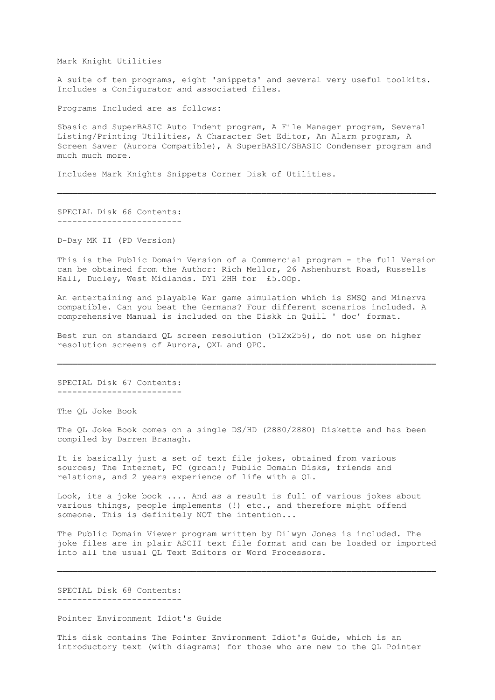Mark Knight Utilities

 A suite of ten programs, eight 'snippets' and several very useful toolkits. Includes a Configurator and associated files.

Programs Included are as follows:

 Sbasic and SuperBASIC Auto Indent program, A File Manager program, Several Listing/Printing Utilities, A Character Set Editor, An Alarm program, A Screen Saver (Aurora Compatible), A SuperBASIC/SBASIC Condenser program and much much more.

────────────────────────────────────────────────────────────────────────────

Includes Mark Knights Snippets Corner Disk of Utilities.

 SPECIAL Disk 66 Contents: -------------------------

D-Day MK II (PD Version)

 This is the Public Domain Version of a Commercial program - the full Version can be obtained from the Author: Rich Mellor, 26 Ashenhurst Road, Russells Hall, Dudley, West Midlands. DY1 2HH for £5.OOp.

 An entertaining and playable War game simulation which is SMSQ and Minerva compatible. Can you beat the Germans? Four different scenarios included. A comprehensive Manual is included on the Diskk in Quill ' doc' format.

 Best run on standard QL screen resolution (512x256), do not use on higher resolution screens of Aurora, QXL and QPC.

────────────────────────────────────────────────────────────────────────────

 SPECIAL Disk 67 Contents: -------------------------

The QL Joke Book

 The QL Joke Book comes on a single DS/HD (2880/2880) Diskette and has been compiled by Darren Branagh.

 It is basically just a set of text file jokes, obtained from various sources; The Internet, PC (groan!; Public Domain Disks, friends and relations, and 2 years experience of life with a QL.

 Look, its a joke book .... And as a result is full of various jokes about various things, people implements (!) etc., and therefore might offend someone. This is definitely NOT the intention...

 The Public Domain Viewer program written by Dilwyn Jones is included. The joke files are in plair ASCII text file format and can be loaded or imported into all the usual QL Text Editors or Word Processors.

────────────────────────────────────────────────────────────────────────────

 SPECIAL Disk 68 Contents: -------------------------

Pointer Environment Idiot's Guide

 This disk contains The Pointer Environment Idiot's Guide, which is an introductory text (with diagrams) for those who are new to the QL Pointer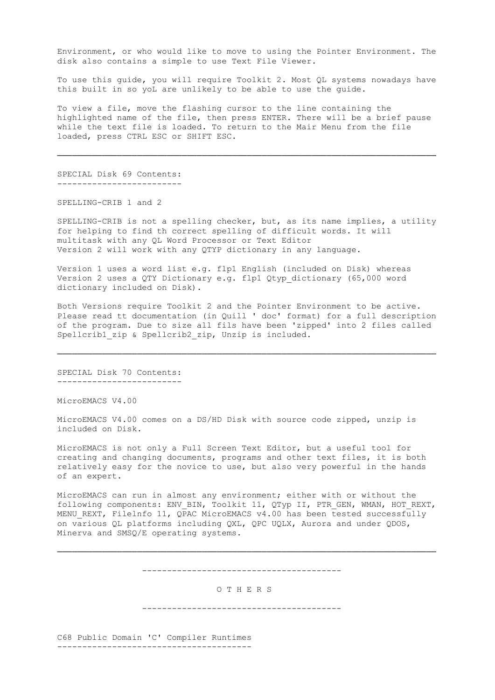Environment, or who would like to move to using the Pointer Environment. The disk also contains a simple to use Text File Viewer.

 To use this guide, you will require Toolkit 2. Most QL systems nowadays have this built in so yoL are unlikely to be able to use the guide.

 To view a file, move the flashing cursor to the line containing the highlighted name of the file, then press ENTER. There will be a brief pause while the text file is loaded. To return to the Mair Menu from the file loaded, press CTRL ESC or SHIFT ESC.

────────────────────────────────────────────────────────────────────────────

 SPECIAL Disk 69 Contents: -------------------------

SPELLING-CRIB 1 and 2

 SPELLING-CRIB is not a spelling checker, but, as its name implies, a utility for helping to find th correct spelling of difficult words. It will multitask with any QL Word Processor or Text Editor Version 2 will work with any QTYP dictionary in any language.

 Version 1 uses a word list e.g. flp1 English (included on Disk) whereas Version 2 uses a QTY Dictionary e.g. flp1 Qtyp\_dictionary (65,000 word dictionary included on Disk).

 Both Versions require Toolkit 2 and the Pointer Environment to be active. Please read tt documentation (in Quill ' doc' format) for a full description of the program. Due to size all fils have been 'zipped' into 2 files called Spellcrib1 zip & Spellcrib2 zip, Unzip is included.

────────────────────────────────────────────────────────────────────────────

 SPECIAL Disk 70 Contents: -------------------------

MicroEMACS V4.00

 MicroEMACS V4.00 comes on a DS/HD Disk with source code zipped, unzip is included on Disk.

 MicroEMACS is not only a Full Screen Text Editor, but a useful tool for creating and changing documents, programs and other text files, it is both relatively easy for the novice to use, but also very powerful in the hands of an expert.

 MicroEMACS can run in almost any environment; either with or without the following components: ENV\_BIN, Toolkit 11, QTyp II, PTR GEN, WMAN, HOT REXT, MENU REXT, Filelnfo 11, QPAC MicroEMACS v4.00 has been tested successfully on various QL platforms including QXL, QPC UQLX, Aurora and under QDOS, Minerva and SMSQ/E operating systems.

----------------------------------------

────────────────────────────────────────────────────────────────────────────

## O T H E R S

----------------------------------------

 C68 Public Domain 'C' Compiler Runtimes ---------------------------------------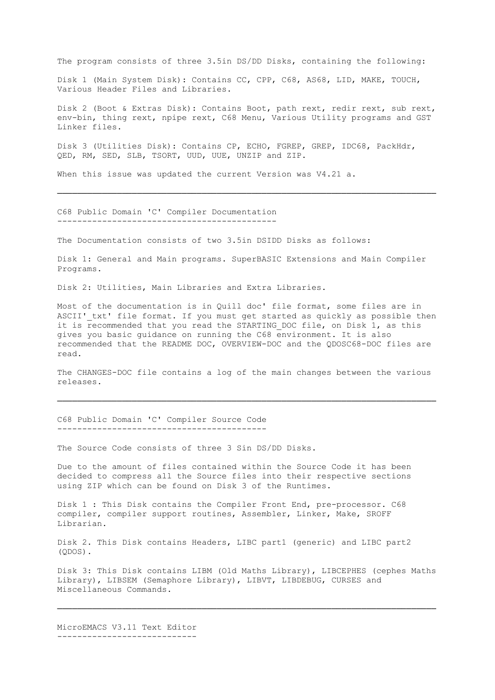The program consists of three 3.5in DS/DD Disks, containing the following:

 Disk 1 (Main System Disk): Contains CC, CPP, C68, AS68, LID, MAKE, TOUCH, Various Header Files and Libraries.

 Disk 2 (Boot & Extras Disk): Contains Boot, path rext, redir rext, sub rext, env-bin, thing rext, npipe rext, C68 Menu, Various Utility programs and GST Linker files.

 Disk 3 (Utilities Disk): Contains CP, ECHO, FGREP, GREP, IDC68, PackHdr, QED, RM, SED, SLB, TSORT, UUD, UUE, UNZIP and ZIP.

────────────────────────────────────────────────────────────────────────────

When this issue was updated the current Version was V4.21 a.

 C68 Public Domain 'C' Compiler Documentation --------------------------------------------

The Documentation consists of two 3.5in DSIDD Disks as follows:

 Disk 1: General and Main programs. SuperBASIC Extensions and Main Compiler Programs.

Disk 2: Utilities, Main Libraries and Extra Libraries.

 Most of the documentation is in Quill doc' file format, some files are in ASCII' txt' file format. If you must get started as quickly as possible then it is recommended that you read the STARTING DOC file, on Disk 1, as this gives you basic guidance on running the C68 environment. It is also recommended that the README DOC, OVERVIEW-DOC and the QDOSC68-DOC files are read.

 The CHANGES-DOC file contains a log of the main changes between the various releases.

────────────────────────────────────────────────────────────────────────────

 C68 Public Domain 'C' Compiler Source Code ------------------------------------------

The Source Code consists of three 3 Sin DS/DD Disks.

 Due to the amount of files contained within the Source Code it has been decided to compress all the Source files into their respective sections using ZIP which can be found on Disk 3 of the Runtimes.

 Disk 1 : This Disk contains the Compiler Front End, pre-processor. C68 compiler, compiler support routines, Assembler, Linker, Make, SROFF Librarian.

 Disk 2. This Disk contains Headers, LIBC part1 (generic) and LIBC part2 (QDOS).

 Disk 3: This Disk contains LIBM (Old Maths Library), LIBCEPHES (cephes Maths Library), LIBSEM (Semaphore Library), LIBVT, LIBDEBUG, CURSES and Miscellaneous Commands.

────────────────────────────────────────────────────────────────────────────

 MicroEMACS V3.11 Text Editor ----------------------------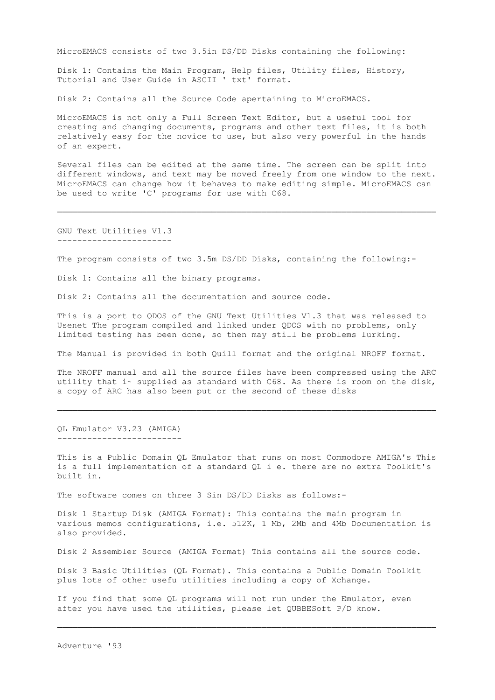MicroEMACS consists of two 3.5in DS/DD Disks containing the following:

 Disk 1: Contains the Main Program, Help files, Utility files, History, Tutorial and User Guide in ASCII ' txt' format.

Disk 2: Contains all the Source Code apertaining to MicroEMACS.

 MicroEMACS is not only a Full Screen Text Editor, but a useful tool for creating and changing documents, programs and other text files, it is both relatively easy for the novice to use, but also very powerful in the hands of an expert.

 Several files can be edited at the same time. The screen can be split into different windows, and text may be moved freely from one window to the next. MicroEMACS can change how it behaves to make editing simple. MicroEMACS can be used to write 'C' programs for use with C68.

────────────────────────────────────────────────────────────────────────────

 GNU Text Utilities V1.3 -----------------------

The program consists of two 3.5m DS/DD Disks, containing the following:-

Disk 1: Contains all the binary programs.

Disk 2: Contains all the documentation and source code.

 This is a port to QDOS of the GNU Text Utilities V1.3 that was released to Usenet The program compiled and linked under QDOS with no problems, only limited testing has been done, so then may still be problems lurking.

The Manual is provided in both Quill format and the original NROFF format.

 The NROFF manual and all the source files have been compressed using the ARC utility that i~ supplied as standard with C68. As there is room on the disk, a copy of ARC has also been put or the second of these disks

────────────────────────────────────────────────────────────────────────────

 QL Emulator V3.23 (AMIGA) -------------------------

 This is a Public Domain QL Emulator that runs on most Commodore AMIGA's This is a full implementation of a standard QL i e. there are no extra Toolkit's built in.

The software comes on three 3 Sin DS/DD Disks as follows:-

 Disk 1 Startup Disk (AMIGA Format): This contains the main program in various memos configurations, i.e. 512K, 1 Mb, 2Mb and 4Mb Documentation is also provided.

Disk 2 Assembler Source (AMIGA Format) This contains all the source code.

 Disk 3 Basic Utilities (QL Format). This contains a Public Domain Toolkit plus lots of other usefu utilities including a copy of Xchange.

 If you find that some QL programs will not run under the Emulator, even after you have used the utilities, please let QUBBESoft P/D know.

────────────────────────────────────────────────────────────────────────────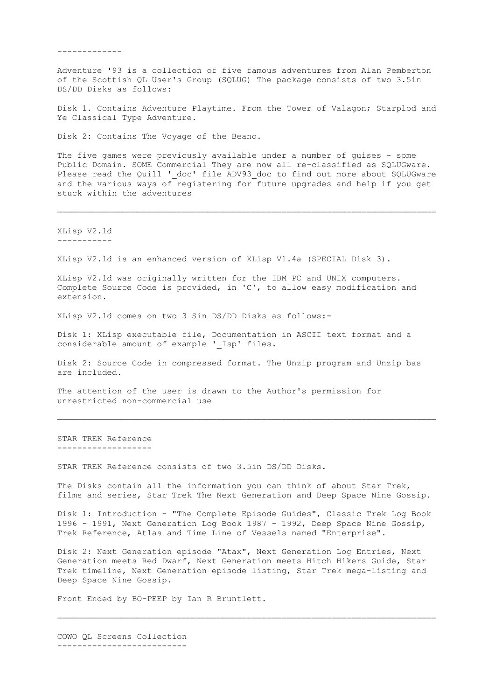-------------

 Adventure '93 is a collection of five famous adventures from Alan Pemberton of the Scottish QL User's Group (SQLUG) The package consists of two 3.5in DS/DD Disks as follows:

 Disk 1. Contains Adventure Playtime. From the Tower of Valagon; Starplod and Ye Classical Type Adventure.

Disk 2: Contains The Voyage of the Beano.

The five games were previously available under a number of guises - some Public Domain. SOME Commercial They are now all re-classified as SQLUGware. Please read the Quill ' doc' file ADV93 doc to find out more about SQLUGware and the various ways of registering for future upgrades and help if you get stuck within the adventures

────────────────────────────────────────────────────────────────────────────

 XLisp V2.1d -----------

XLisp V2.1d is an enhanced version of XLisp V1.4a (SPECIAL Disk 3).

 XLisp V2.1d was originally written for the IBM PC and UNIX computers. Complete Source Code is provided, in 'C', to allow easy modification and extension.

XLisp V2.1d comes on two 3 Sin DS/DD Disks as follows:-

 Disk 1: XLisp executable file, Documentation in ASCII text format and a considerable amount of example ' Isp' files.

 Disk 2: Source Code in compressed format. The Unzip program and Unzip bas are included.

────────────────────────────────────────────────────────────────────────────

 The attention of the user is drawn to the Author's permission for unrestricted non-commercial use

 STAR TREK Reference -------------------

STAR TREK Reference consists of two 3.5in DS/DD Disks.

 The Disks contain all the information you can think of about Star Trek, films and series, Star Trek The Next Generation and Deep Space Nine Gossip.

 Disk 1: Introduction - "The Complete Episode Guides", Classic Trek Log Book 1996 - 1991, Next Generation Log Book 1987 - 1992, Deep Space Nine Gossip, Trek Reference, Atlas and Time Line of Vessels named "Enterprise".

 Disk 2: Next Generation episode "Atax", Next Generation Log Entries, Next Generation meets Red Dwarf, Next Generation meets Hitch Hikers Guide, Star Trek timeline, Next Generation episode listing, Star Trek mega-listing and Deep Space Nine Gossip.

────────────────────────────────────────────────────────────────────────────

Front Ended by BO-PEEP by Ian R Bruntlett.

 COWO QL Screens Collection --------------------------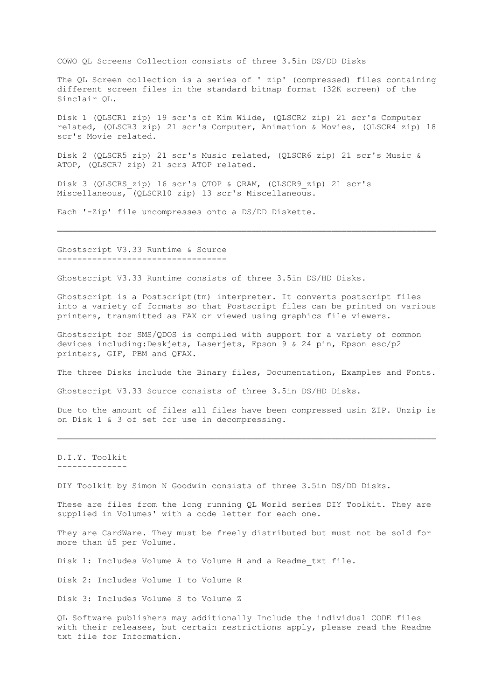COWO QL Screens Collection consists of three 3.5in DS/DD Disks

 The QL Screen collection is a series of ' zip' (compressed) files containing different screen files in the standard bitmap format (32K screen) of the Sinclair QL.

 Disk 1 (QLSCR1 zip) 19 scr's of Kim Wilde, (QLSCR2\_zip) 21 scr's Computer related, (QLSCR3 zip) 21 scr's Computer, Animation & Movies, (QLSCR4 zip) 18 scr's Movie related.

 Disk 2 (QLSCR5 zip) 21 scr's Music related, (QLSCR6 zip) 21 scr's Music & ATOP, (QLSCR7 zip) 21 scrs ATOP related.

────────────────────────────────────────────────────────────────────────────

 Disk 3 (QLSCRS\_zip) 16 scr's QTOP & QRAM, (QLSCR9\_zip) 21 scr's Miscellaneous, (QLSCR10 zip) 13 scr's Miscellaneous.

Each '-Zip' file uncompresses onto a DS/DD Diskette.

### Ghostscript V3.33 Runtime & Source ----------------------------------

Ghostscript V3.33 Runtime consists of three 3.5in DS/HD Disks.

 Ghostscript is a Postscript(tm) interpreter. It converts postscript files into a variety of formats so that Postscript files can be printed on various printers, transmitted as FAX or viewed using graphics file viewers.

 Ghostscript for SMS/QDOS is compiled with support for a variety of common devices including:Deskjets, Laserjets, Epson 9 & 24 pin, Epson esc/p2 printers, GIF, PBM and QFAX.

The three Disks include the Binary files, Documentation, Examples and Fonts.

Ghostscript V3.33 Source consists of three 3.5in DS/HD Disks.

 Due to the amount of files all files have been compressed usin ZIP. Unzip is on Disk 1 & 3 of set for use in decompressing.

────────────────────────────────────────────────────────────────────────────

### D.I.Y. Toolkit --------------

DIY Toolkit by Simon N Goodwin consists of three 3.5in DS/DD Disks.

 These are files from the long running QL World series DIY Toolkit. They are supplied in Volumes' with a code letter for each one.

 They are CardWare. They must be freely distributed but must not be sold for more than ú5 per Volume.

Disk 1: Includes Volume A to Volume H and a Readme\_txt file.

Disk 2: Includes Volume I to Volume R

Disk 3: Includes Volume S to Volume Z

 QL Software publishers may additionally Include the individual CODE files with their releases, but certain restrictions apply, please read the Readme txt file for Information.